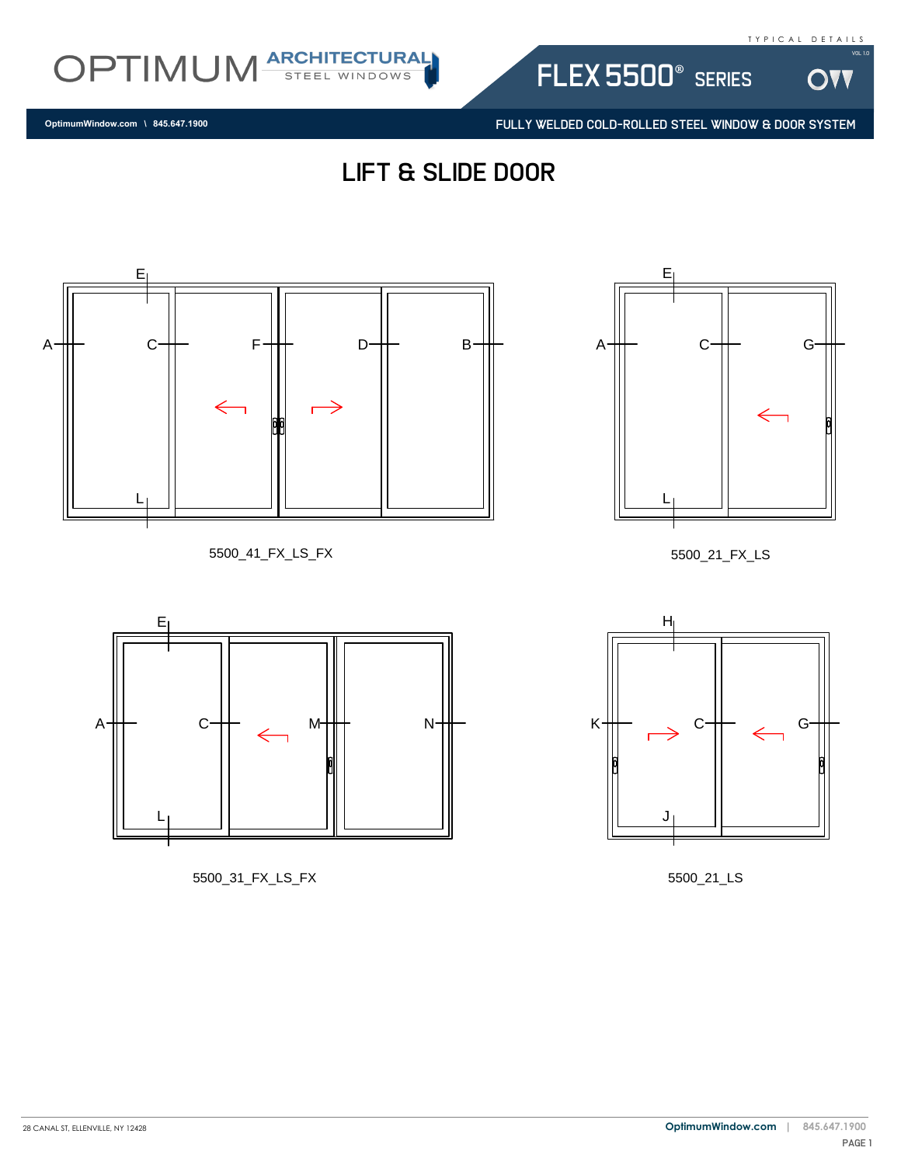OV

Vol 1.0



FULLY WELDED COLD-ROLLED STEEL WINDOW & DOOR SYSTEM

flex 5500® series

**OptimumWindow.com \ 845.647.1900**









5500\_31\_FX\_LS\_FX



5500\_21\_FX\_LS



5500\_21\_LS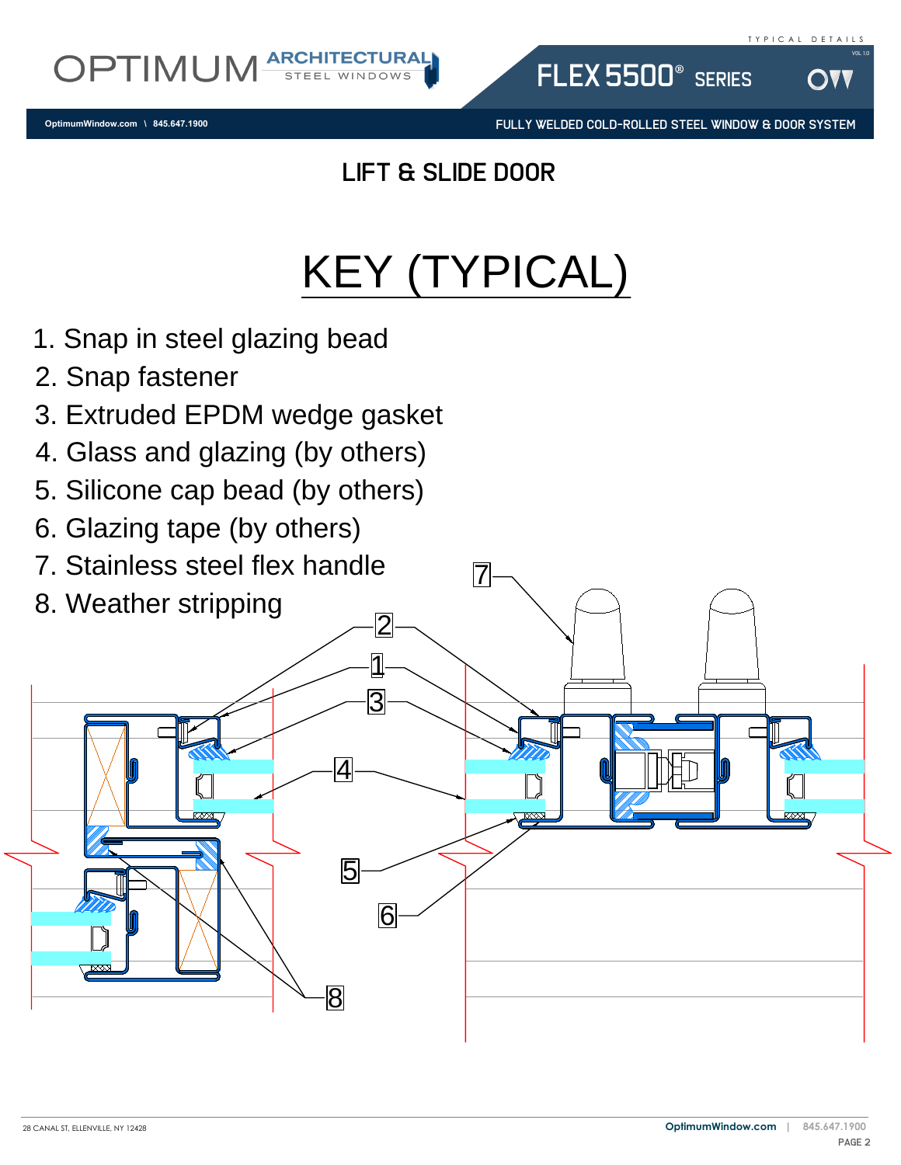**OptimumWindow.com \ 845.647.1900**

OPTIMUM

FULLY WELDED COLD-ROLLED STEEL WINDOW & DOOR SYSTEM

flex 5500® series

## lift & slide door

**ARCHITECTURAL** 

## KEY (TYPICAL)

- 1. Snap in steel glazing bead<br>2. Snap fastener<br>3. Extruded EPDM wedge ga<br>4. Glass and glazing (by othe<br>5. Silicone cap bead (by othe
- 2. Snap fastener
- 2. Snap rastener<br>3. Extruded EPDM wedge gasket<br>4. Glass and glazing (by others)<br>5. Silicone cap bead (by others)<br>6. Glazing tape (by others)<br>7. Stainless steel flex handle<br>8. Mesther stripping
- 
- 
- 6. Glazing tape (by others)
- 7. Stainless steel flex handle 7
- 8. Weather stripping

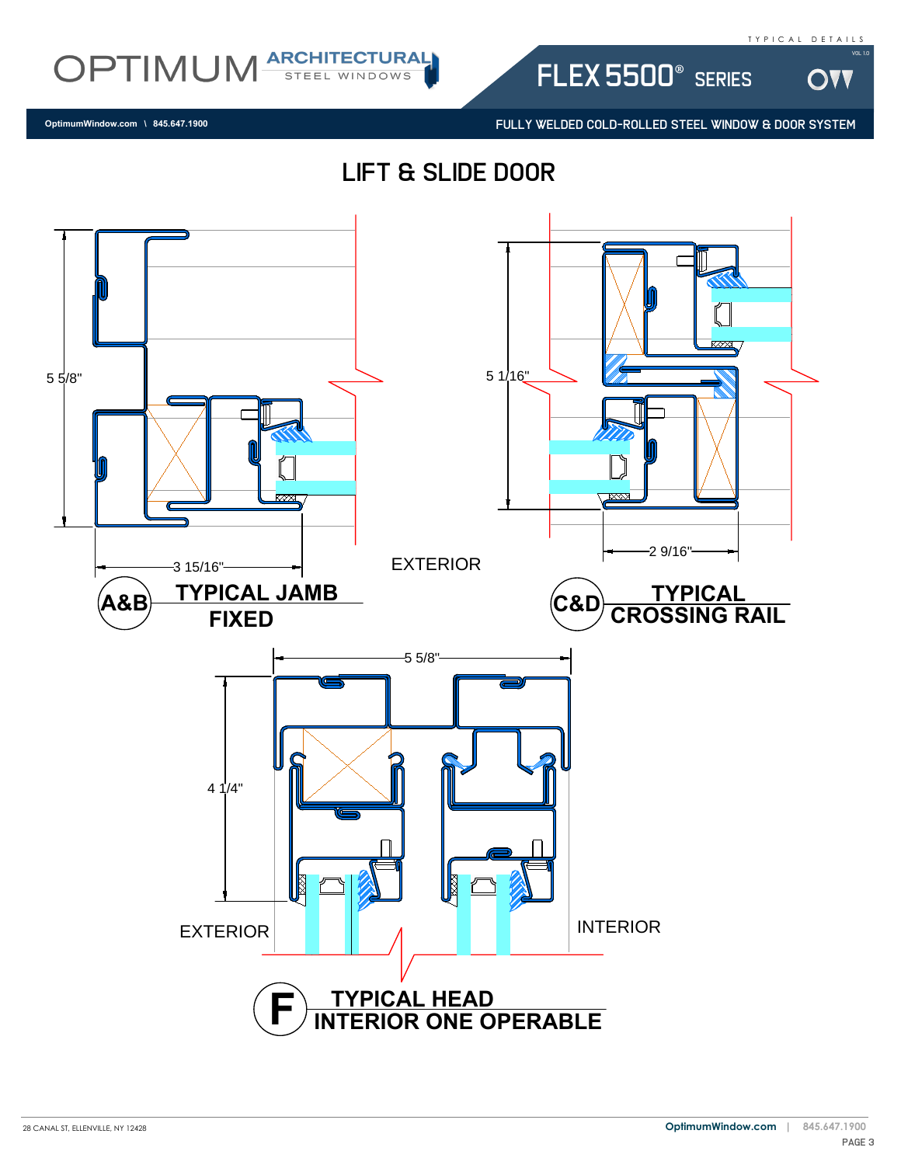

DVV



flex 5500® series

FULLY WELDED COLD-ROLLED STEEL WINDOW & DOOR SYSTEM

**OptimumWindow.com \ 845.647.1900**

lift & slide door

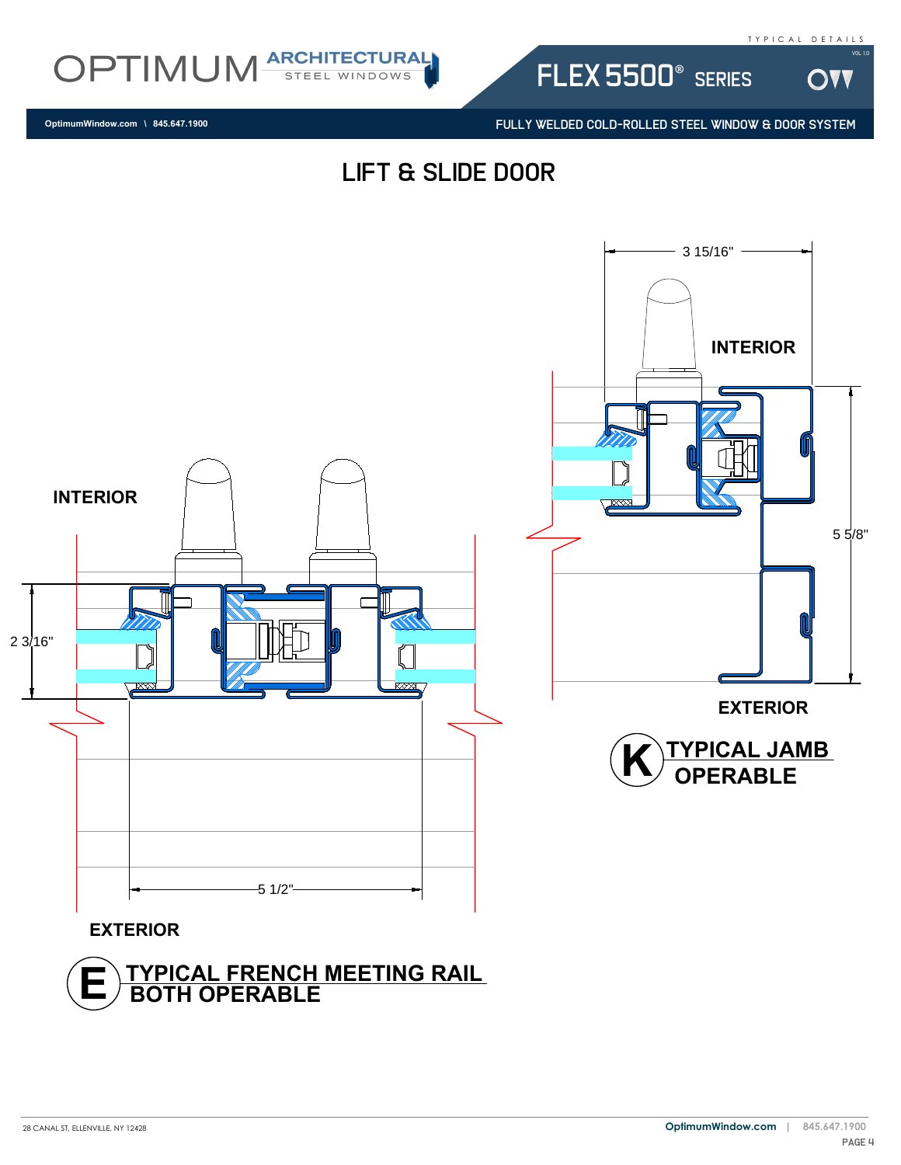

**DVV** 



**OptimumWindow.com \ 845.647.1900**

FULLY WELDED COLD-ROLLED STEEL WINDOW & DOOR SYSTEM

flex 5500® series

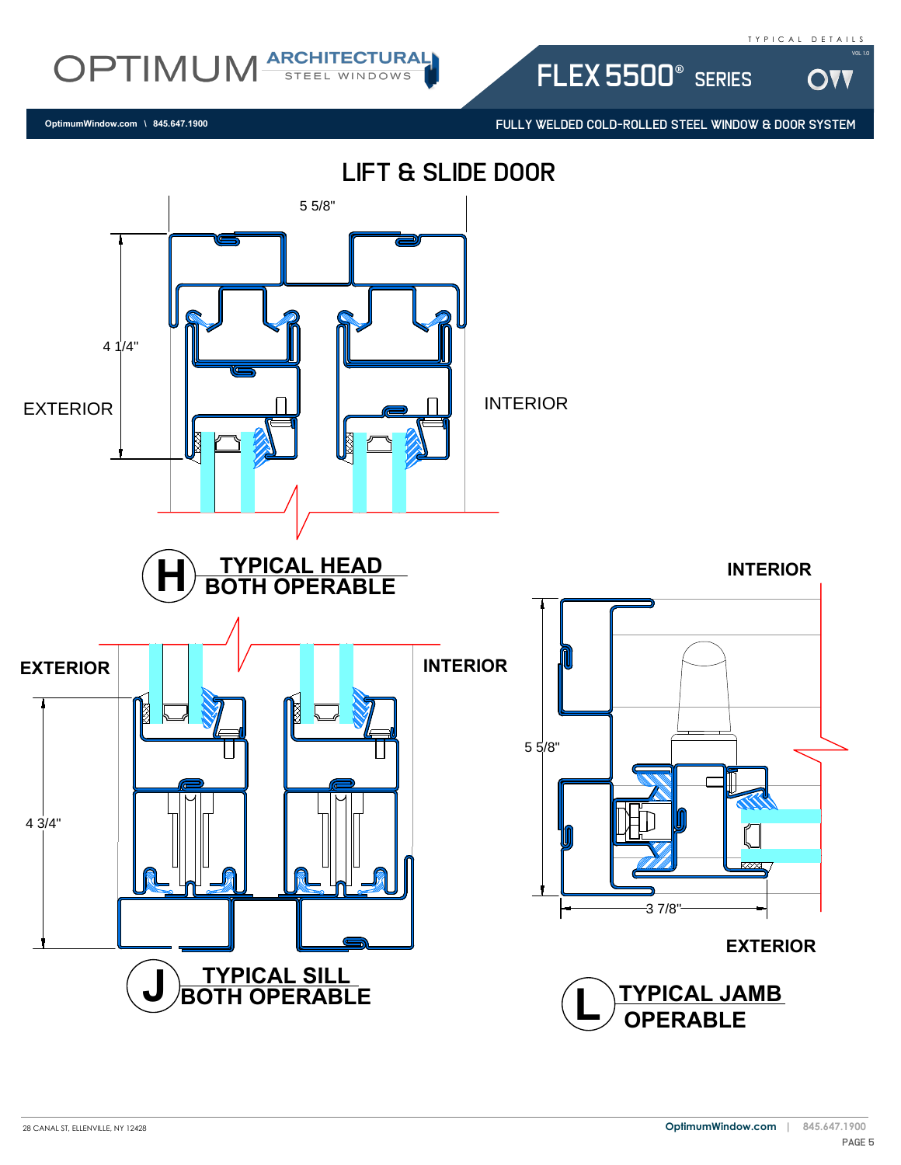

W

OPTIMUM ARCHITECTURAL

**OptimumWindow.com \ 845.647.1900**

FULLY WELDED COLD-ROLLED STEEL WINDOW & DOOR SYSTEM

flex 5500® series